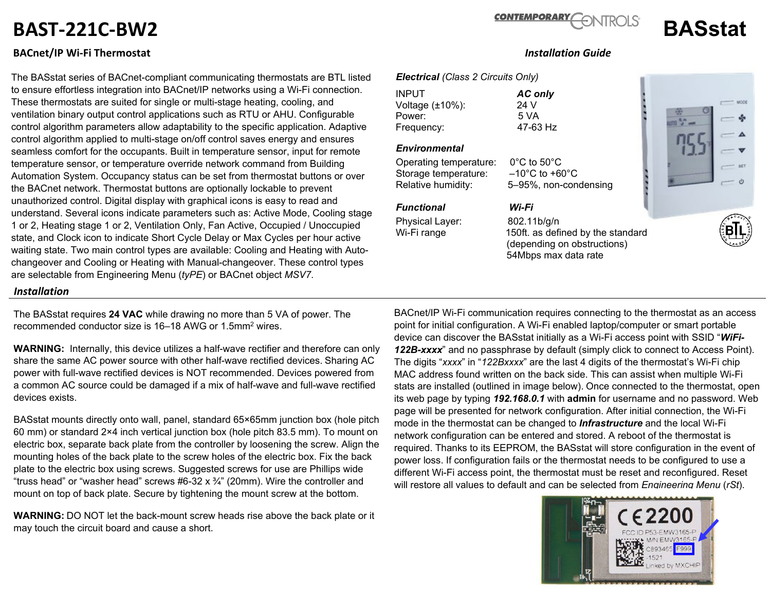# **BAST-221C-BW2 BASstat**

## **BACnet/IP Wi-Fi Thermostat** *Installation Guide*

The BASstat series of BACnet-compliant communicating thermostats are BTL listed to ensure effortless integration into BACnet/IP networks using a Wi-Fi connection. These thermostats are suited for single or multi-stage heating, cooling, and ventilation binary output control applications such as RTU or AHU. Configurable control algorithm parameters allow adaptability to the specific application. Adaptive control algorithm applied to multi-stage on/off control saves energy and ensures seamless comfort for the occupants. Built in temperature sensor, input for remote temperature sensor, or temperature override network command from Building Automation System. Occupancy status can be set from thermostat buttons or over the BACnet network. Thermostat buttons are optionally lockable to prevent unauthorized control. Digital display with graphical icons is easy to read and understand. Several icons indicate parameters such as: Active Mode, Cooling stage 1 or 2, Heating stage 1 or 2, Ventilation Only, Fan Active, Occupied / Unoccupied state, and Clock icon to indicate Short Cycle Delay or Max Cycles per hour active waiting state. Two main control types are available: Cooling and Heating with Autochangeover and Cooling or Heating with Manual-changeover. These control types are selectable from Engineering Menu (*tyPE*) or BACnet object *MSV7*.

#### *Installation*

The BASstat requires **24 VAC** while drawing no more than 5 VA of power. The recommended conductor size is 16–18 AWG or 1.5mm2 wires.

**WARNING:** Internally, this device utilizes a half-wave rectifier and therefore can only share the same AC power source with other half-wave rectified devices. Sharing AC power with full-wave rectified devices is NOT recommended. Devices powered from a common AC source could be damaged if a mix of half-wave and full-wave rectified devices exists.

BASstat mounts directly onto wall, panel, standard 65×65mm junction box (hole pitch 60 mm) or standard 2×4 inch vertical junction box (hole pitch 83.5 mm). To mount on electric box, separate back plate from the controller by loosening the screw. Align the mounting holes of the back plate to the screw holes of the electric box. Fix the back plate to the electric box using screws. Suggested screws for use are Phillips wide "truss head" or "washer head" screws  $#6-32 \times 34"$  (20mm). Wire the controller and mount on top of back plate. Secure by tightening the mount screw at the bottom.

**WARNING:** DO NOT let the back-mount screw heads rise above the back plate or it may touch the circuit board and cause a short.

#### BACnet/IP Wi-Fi communication requires connecting to the thermostat as an access point for initial configuration. A Wi-Fi enabled laptop/computer or smart portable device can discover the BASstat initially as a Wi-Fi access point with SSID "*WiFi-122B-xxxx*" and no passphrase by default (simply click to connect to Access Point). The digits "*xxxx*" in "*122Bxxxx*" are the last 4 digits of the thermostat's Wi-Fi chip MAC address found written on the back side. This can assist when multiple Wi-Fi stats are installed (outlined in image below). Once connected to the thermostat, open its web page by typing *192.168.0.1* with **admin** for username and no password. Web page will be presented for network configuration. After initial connection, the Wi-Fi mode in the thermostat can be changed to *Infrastructure* and the local Wi-Fi network configuration can be entered and stored. A reboot of the thermostat is required. Thanks to its EEPROM, the BASstat will store configuration in the event of power loss. If configuration fails or the thermostat needs to be configured to use a different Wi-Fi access point, the thermostat must be reset and reconfigured. Reset will restore all values to default and can be selected from *Engineering Menu* (*rSt*).



### *Electrical (Class 2 Circuits Only)*

INPUT *AC only* Voltage (±10%): 24 V Power: 5 VA<br>Frequency: 6 17-63 Hz Frequency:

#### *Environmental*

Operating temperature: 0°C to 50°C Storage temperature: –10°C to +60°C Relative humidity: 5–95%, non-condensing

### *Functional Wi-Fi*

Physical Layer: 802.11b/g/n

Wi-Fi range 150ft. as defined by the standard (depending on obstructions) 54Mbps max data rate